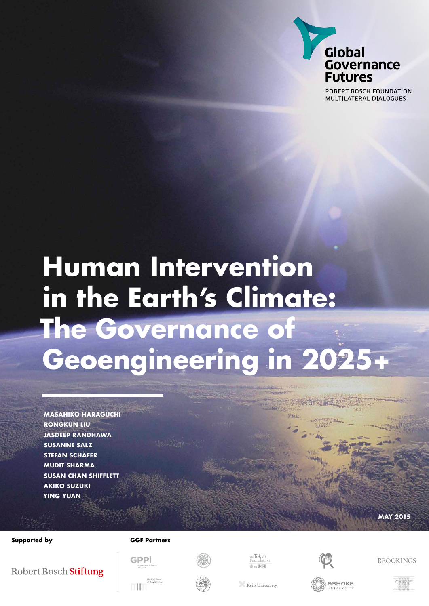

ROBERT BOSCH FOUNDATION MULTILATERAL DIALOGUES

## **Human Intervention in the Earth's Climate: The Governance of Geoengineering in 2025+**

**Masahiko Haraguchi Rongkun Liu Jasdeep Randhawa Susanne Salz Stefan Schäfer Mudit Sharma Susan Chan Shifflett Akiko Suzuki Ying Yuan**

### **Supported by GGF Partners**



<sub>The</sub>Tokyo<br>Foundatic 



**BROOKINGS** 

**may 2015**

### Robert Bosch Stiftung



**GPPi** 



Keio University

аѕнока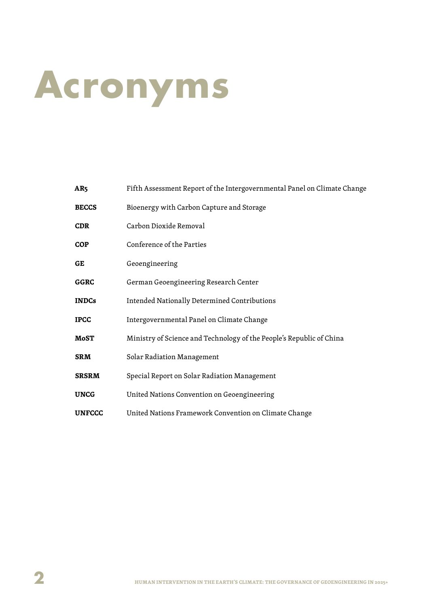## **Acronyms**

| AR <sub>5</sub> | Fifth Assessment Report of the Intergovernmental Panel on Climate Change |
|-----------------|--------------------------------------------------------------------------|
| <b>BECCS</b>    | Bioenergy with Carbon Capture and Storage                                |
| CDR             | Carbon Dioxide Removal                                                   |
| <b>COP</b>      | Conference of the Parties                                                |
| GE              | Geoengineering                                                           |
| <b>GGRC</b>     | German Geoengineering Research Center                                    |
| <b>INDCs</b>    | Intended Nationally Determined Contributions                             |
| <b>IPCC</b>     | Intergovernmental Panel on Climate Change                                |
| <b>MoST</b>     | Ministry of Science and Technology of the People's Republic of China     |
| <b>SRM</b>      | Solar Radiation Management                                               |
| <b>SRSRM</b>    | Special Report on Solar Radiation Management                             |
| <b>UNCG</b>     | United Nations Convention on Geoengineering                              |
| <b>UNFCCC</b>   | United Nations Framework Convention on Climate Change                    |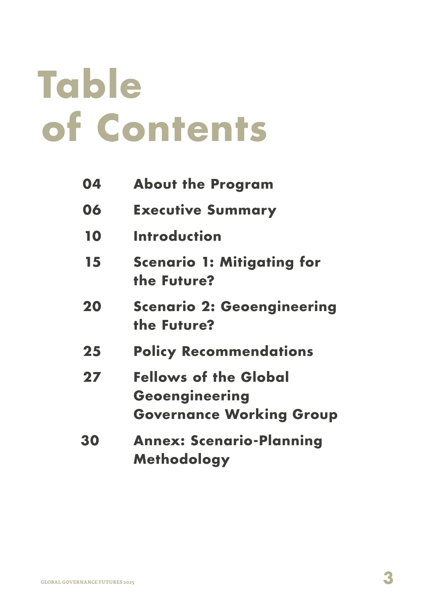## **Table of Contents**

| 04 | <b>About the Program</b>                                                          |
|----|-----------------------------------------------------------------------------------|
| 06 | <b>Executive Summary</b>                                                          |
| 10 | <b>Introduction</b>                                                               |
| 15 | <b>Scenario 1: Mitigating for</b><br>the Future?                                  |
| 20 | <b>Scenario 2: Geoengineering</b><br>the Future?                                  |
| 25 | <b>Policy Recommendations</b>                                                     |
| 27 | <b>Fellows of the Global</b><br>Geoengineering<br><b>Governance Working Group</b> |
| 30 | <b>Annex: Scenario-Planning</b><br><b>Methodology</b>                             |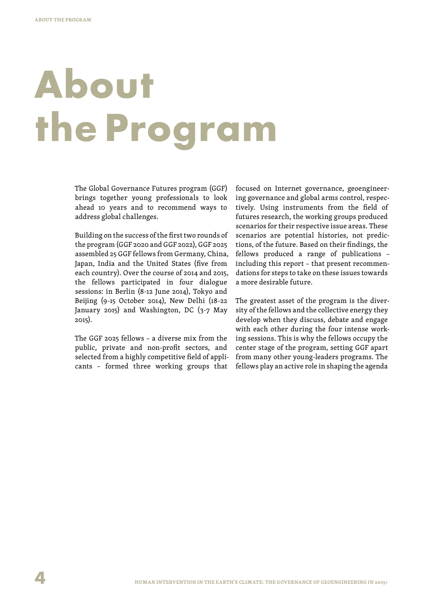## **About the Program**

The Global Governance Futures program (GGF) brings together young professionals to look ahead 10 years and to recommend ways to address global challenges.

Building on the success of the first two rounds of the program (GGF 2020 and GGF 2022), GGF 2025 assembled 25 GGF fellows from Germany, China, Japan, India and the United States (five from each country). Over the course of 2014 and 2015, the fellows participated in four dialogue sessions: in Berlin (8-12 June 2014), Tokyo and Beijing (9-15 October 2014), New Delhi (18-22 January 2015) and Washington, DC (3-7 May 2015).

The GGF 2025 fellows – a diverse mix from the public, private and non-profit sectors, and selected from a highly competitive field of applicants – formed three working groups that focused on Internet governance, geoengineering governance and global arms control, respectively. Using instruments from the field of futures research, the working groups produced scenarios for their respective issue areas. These scenarios are potential histories, not predictions, of the future. Based on their findings, the fellows produced a range of publications – including this report – that present recommendations for steps to take on these issues towards a more desirable future.

The greatest asset of the program is the diversity of the fellows and the collective energy they develop when they discuss, debate and engage with each other during the four intense working sessions. This is why the fellows occupy the center stage of the program, setting GGF apart from many other young-leaders programs. The fellows play an active role in shaping the agenda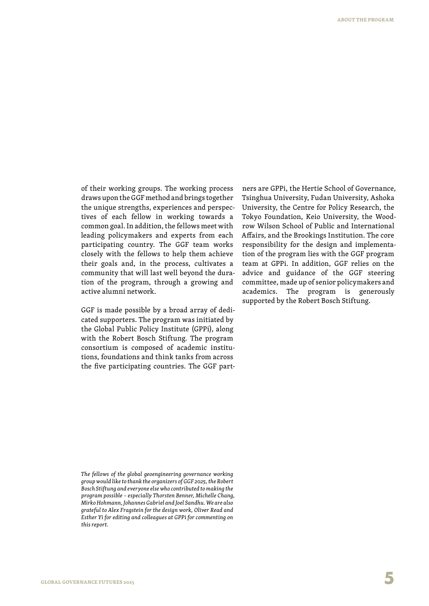of their working groups. The working process draws upon the GGF method and brings together the unique strengths, experiences and perspectives of each fellow in working towards a common goal. In addition, the fellows meet with leading policymakers and experts from each participating country. The GGF team works closely with the fellows to help them achieve their goals and, in the process, cultivates a community that will last well beyond the duration of the program, through a growing and active alumni network.

GGF is made possible by a broad array of dedicated supporters. The program was initiated by the Global Public Policy Institute (GPPi), along with the Robert Bosch Stiftung. The program consortium is composed of academic institutions, foundations and think tanks from across the five participating countries. The GGF partners are GPPi, the Hertie School of Governance, Tsinghua University, Fudan University, Ashoka University, the Centre for Policy Research, the Tokyo Foundation, Keio University, the Woodrow Wilson School of Public and International Affairs, and the Brookings Institution. The core responsibility for the design and implementation of the program lies with the GGF program team at GPPi. In addition, GGF relies on the advice and guidance of the GGF steering committee, made up of senior policymakers and academics. The program is generously supported by the Robert Bosch Stiftung.

*The fellows of the global geoengineering governance working group would like to thank the organizers of GGF 2025, the Robert Bosch Stiftung and everyone else who contributed to making the program possible – especially Thorsten Benner, Michelle Chang, Mirko Hohmann, Johannes Gabriel and Joel Sandhu. We are also grateful to Alex Fragstein for the design work, Oliver Read and Esther Yi for editing and colleagues at GPPi for commenting on this report.*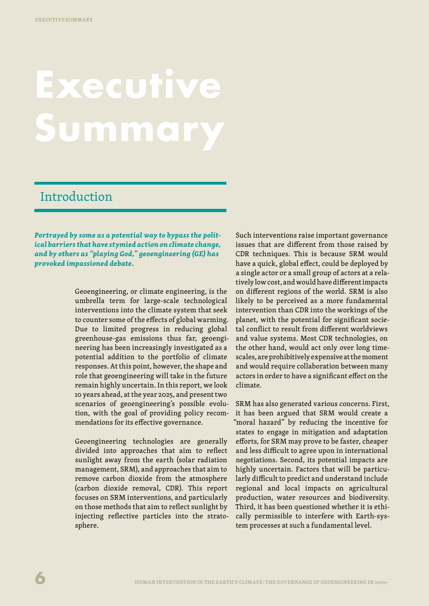## **Zecutive Summary**

## Introduction

*Portrayed by some as a potential way to bypass the political barriers that have stymied action on climate change, and by others as "playing God," geoengineering (GE) has provoked impassioned debate.*

> Geoengineering, or climate engineering, is the umbrella term for large-scale technological interventions into the climate system that seek to counter some of the effects of global warming. Due to limited progress in reducing global greenhouse-gas emissions thus far, geoengineering has been increasingly investigated as a potential addition to the portfolio of climate responses. At this point, however, the shape and role that geoengineering will take in the future remain highly uncertain. In this report, we look 10 years ahead, at the year 2025, and present two scenarios of geoengineering's possible evolution, with the goal of providing policy recommendations for its effective governance.

> Geoengineering technologies are generally divided into approaches that aim to reflect sunlight away from the earth (solar radiation management, SRM), and approaches that aim to remove carbon dioxide from the atmosphere (carbon dioxide removal, CDR). This report focuses on SRM interventions, and particularly on those methods that aim to reflect sunlight by injecting reflective particles into the stratosphere.

Such interventions raise important governance issues that are different from those raised by CDR techniques. This is because SRM would have a quick, global effect, could be deployed by a single actor or a small group of actors at a relatively low cost, and would have different impacts on different regions of the world. SRM is also likely to be perceived as a more fundamental intervention than CDR into the workings of the planet, with the potential for significant societal conflict to result from different worldviews and value systems. Most CDR technologies, on the other hand, would act only over long timescales, are prohibitively expensive at the moment and would require collaboration between many actors in order to have a significant effect on the climate.

SRM has also generated various concerns. First, it has been argued that SRM would create a "moral hazard" by reducing the incentive for states to engage in mitigation and adaptation efforts, for SRM may prove to be faster, cheaper and less difficult to agree upon in international negotiations. Second, its potential impacts are highly uncertain. Factors that will be particularly difficult to predict and understand include regional and local impacts on agricultural production, water resources and biodiversity. Third, it has been questioned whether it is ethically permissible to interfere with Earth-system processes at such a fundamental level.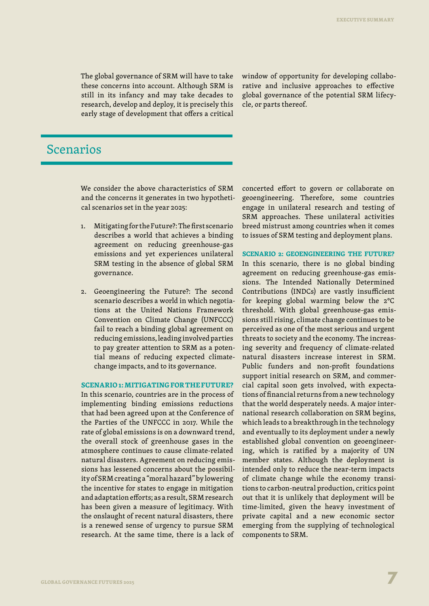The global governance of SRM will have to take these concerns into account. Although SRM is still in its infancy and may take decades to research, develop and deploy, it is precisely this early stage of development that offers a critical window of opportunity for developing collaborative and inclusive approaches to effective global governance of the potential SRM lifecycle, or parts thereof.

## Scenarios

We consider the above characteristics of SRM and the concerns it generates in two hypothetical scenarios set in the year 2025:

- 1. Mitigating for the Future?: The first scenario describes a world that achieves a binding agreement on reducing greenhouse-gas emissions and yet experiences unilateral SRM testing in the absence of global SRM governance.
- 2. Geoengineering the Future?: The second scenario describes a world in which negotiations at the United Nations Framework Convention on Climate Change (UNFCCC) fail to reach a binding global agreement on reducing emissions, leading involved parties to pay greater attention to SRM as a potential means of reducing expected climatechange impacts, and to its governance.

#### **SCENARIO 1: MITIGATING FOR THE FUTURE?**

In this scenario, countries are in the process of implementing binding emissions reductions that had been agreed upon at the Conference of the Parties of the UNFCCC in 2017. While the rate of global emissions is on a downward trend, the overall stock of greenhouse gases in the atmosphere continues to cause climate-related natural disasters. Agreement on reducing emissions has lessened concerns about the possibility of SRM creating a "moral hazard" by lowering the incentive for states to engage in mitigation and adaptation efforts; as a result, SRM research has been given a measure of legitimacy. With the onslaught of recent natural disasters, there is a renewed sense of urgency to pursue SRM research. At the same time, there is a lack of

concerted effort to govern or collaborate on geoengineering. Therefore, some countries engage in unilateral research and testing of SRM approaches. These unilateral activities breed mistrust among countries when it comes to issues of SRM testing and deployment plans.

**Scenario 2: Geoengineering the Future?**

In this scenario, there is no global binding agreement on reducing greenhouse-gas emissions. The Intended Nationally Determined Contributions (INDCs) are vastly insufficient for keeping global warming below the 2°C threshold. With global greenhouse-gas emissions still rising, climate change continues to be perceived as one of the most serious and urgent threats to society and the economy. The increasing severity and frequency of climate-related natural disasters increase interest in SRM. Public funders and non-profit foundations support initial research on SRM, and commercial capital soon gets involved, with expectations of financial returns from a new technology that the world desperately needs. A major international research collaboration on SRM begins, which leads to a breakthrough in the technology and eventually to its deployment under a newly established global convention on geoengineering, which is ratified by a majority of UN member states. Although the deployment is intended only to reduce the near-term impacts of climate change while the economy transitions to carbon-neutral production, critics point out that it is unlikely that deployment will be time-limited, given the heavy investment of private capital and a new economic sector emerging from the supplying of technological components to SRM.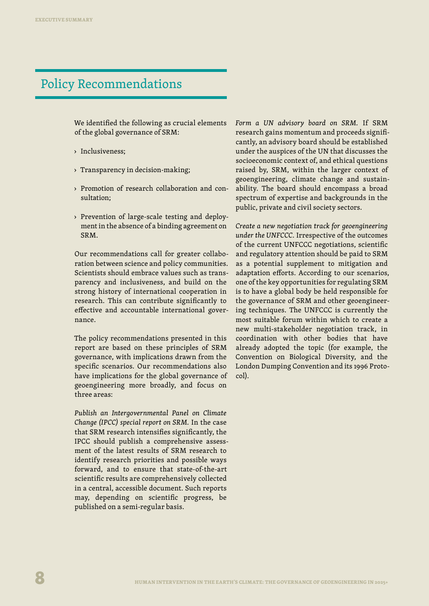## Policy Recommendations

We identified the following as crucial elements of the global governance of SRM:

- › Inclusiveness;
- › Transparency in decision-making;
- > Promotion of research collaboration and consultation;
- › Prevention of large-scale testing and deployment in the absence of a binding agreement on SRM.

Our recommendations call for greater collaboration between science and policy communities. Scientists should embrace values such as transparency and inclusiveness, and build on the strong history of international cooperation in research. This can contribute significantly to effective and accountable international governance.

The policy recommendations presented in this report are based on these principles of SRM governance, with implications drawn from the specific scenarios. Our recommendations also have implications for the global governance of geoengineering more broadly, and focus on three areas:

*Publish an Intergovernmental Panel on Climate Change (IPCC) special report on SRM.* In the case that SRM research intensifies significantly, the IPCC should publish a comprehensive assessment of the latest results of SRM research to identify research priorities and possible ways forward, and to ensure that state-of-the-art scientific results are comprehensively collected in a central, accessible document. Such reports may, depending on scientific progress, be published on a semi-regular basis.

*Form a UN advisory board on SRM.* If SRM research gains momentum and proceeds significantly, an advisory board should be established under the auspices of the UN that discusses the socioeconomic context of, and ethical questions raised by, SRM, within the larger context of geoengineering, climate change and sustainability. The board should encompass a broad spectrum of expertise and backgrounds in the public, private and civil society sectors.

*Create a new negotiation track for geoengineering under the UNFCCC.* Irrespective of the outcomes of the current UNFCCC negotiations, scientific and regulatory attention should be paid to SRM as a potential supplement to mitigation and adaptation efforts. According to our scenarios, one of the key opportunities for regulating SRM is to have a global body be held responsible for the governance of SRM and other geoengineering techniques. The UNFCCC is currently the most suitable forum within which to create a new multi-stakeholder negotiation track, in coordination with other bodies that have already adopted the topic (for example, the Convention on Biological Diversity, and the London Dumping Convention and its 1996 Protocol).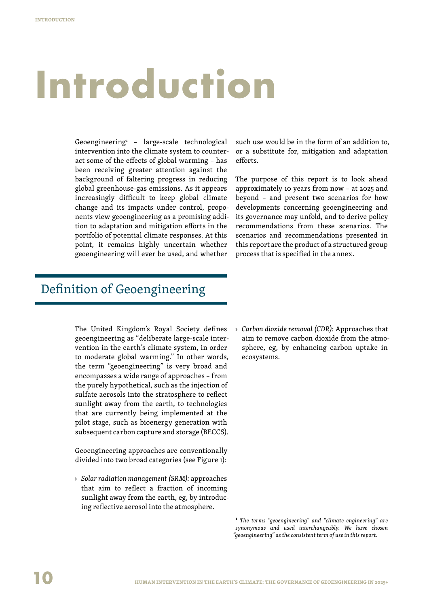## **Introduction**

Geoengineering1 – large-scale technological intervention into the climate system to counteract some of the effects of global warming – has been receiving greater attention against the background of faltering progress in reducing global greenhouse-gas emissions. As it appears increasingly difficult to keep global climate change and its impacts under control, proponents view geoengineering as a promising addition to adaptation and mitigation efforts in the portfolio of potential climate responses. At this point, it remains highly uncertain whether geoengineering will ever be used, and whether

Definition of Geoengineering

The United Kingdom's Royal Society defines geoengineering as "deliberate large-scale intervention in the earth's climate system, in order to moderate global warming." In other words, the term "geoengineering" is very broad and encompasses a wide range of approaches – from the purely hypothetical, such as the injection of sulfate aerosols into the stratosphere to reflect sunlight away from the earth, to technologies that are currently being implemented at the pilot stage, such as bioenergy generation with subsequent carbon capture and storage (BECCS).

Geoengineering approaches are conventionally divided into two broad categories (see Figure 1):

› *Solar radiation management (SRM):* approaches that aim to reflect a fraction of incoming sunlight away from the earth, eg, by introducing reflective aerosol into the atmosphere.

such use would be in the form of an addition to, or a substitute for, mitigation and adaptation efforts.

The purpose of this report is to look ahead approximately 10 years from now – at 2025 and beyond – and present two scenarios for how developments concerning geoengineering and its governance may unfold, and to derive policy recommendations from these scenarios. The scenarios and recommendations presented in this report are the product of a structured group process that is specified in the annex.

› *Carbon dioxide removal (CDR):* Approaches that aim to remove carbon dioxide from the atmosphere, eg, by enhancing carbon uptake in ecosystems.

**1**  *The terms "geoengineering" and "climate engineering" are synonymous and used interchangeably. We have chosen "geoengineering" as the consistent term of use in this report.*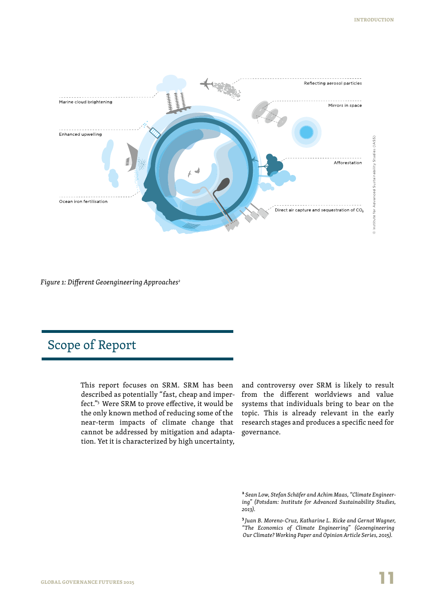

*Figure 1: Different Geoengineering Approaches2*

## Scope of Report

This report focuses on SRM. SRM has been described as potentially "fast, cheap and imperfect."3 Were SRM to prove effective, it would be the only known method of reducing some of the near-term impacts of climate change that cannot be addressed by mitigation and adaptation. Yet it is characterized by high uncertainty,

and controversy over SRM is likely to result from the different worldviews and value systems that individuals bring to bear on the topic. This is already relevant in the early research stages and produces a specific need for governance.

**<sup>2</sup>**  *Sean Low, Stefan Schäfer and Achim Maas, "Climate Engineering" (Potsdam: Institute for Advanced Sustainability Studies, 2013).*

**<sup>3</sup>***Juan B. Moreno-Cruz, Katharine L. Ricke and Gernot Wagner, "The Economics of Climate Engineering" (Geoengineering Our Climate? Working Paper and Opinion Article Series, 2015).*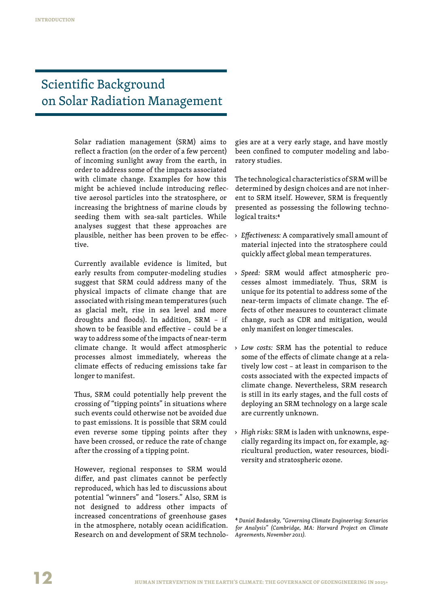## Scientific Background on Solar Radiation Management

Solar radiation management (SRM) aims to reflect a fraction (on the order of a few percent) of incoming sunlight away from the earth, in order to address some of the impacts associated with climate change. Examples for how this might be achieved include introducing reflective aerosol particles into the stratosphere, or increasing the brightness of marine clouds by seeding them with sea-salt particles. While analyses suggest that these approaches are plausible, neither has been proven to be effective.

Currently available evidence is limited, but early results from computer-modeling studies suggest that SRM could address many of the physical impacts of climate change that are associated with rising mean temperatures (such as glacial melt, rise in sea level and more droughts and floods). In addition, SRM – if shown to be feasible and effective – could be a way to address some of the impacts of near-term climate change. It would affect atmospheric processes almost immediately, whereas the climate effects of reducing emissions take far longer to manifest.

Thus, SRM could potentially help prevent the crossing of "tipping points" in situations where such events could otherwise not be avoided due to past emissions. It is possible that SRM could even reverse some tipping points after they have been crossed, or reduce the rate of change after the crossing of a tipping point.

However, regional responses to SRM would differ, and past climates cannot be perfectly reproduced, which has led to discussions about potential "winners" and "losers." Also, SRM is not designed to address other impacts of increased concentrations of greenhouse gases in the atmosphere, notably ocean acidification. Research on and development of SRM technologies are at a very early stage, and have mostly been confined to computer modeling and laboratory studies.

The technological characteristics of SRM will be determined by design choices and are not inherent to SRM itself. However, SRM is frequently presented as possessing the following technological traits:**<sup>4</sup>**

- › *Effectiveness:* A comparatively small amount of material injected into the stratosphere could quickly affect global mean temperatures.
- › *Speed:* SRM would affect atmospheric processes almost immediately. Thus, SRM is unique for its potential to address some of the near-term impacts of climate change. The effects of other measures to counteract climate change, such as CDR and mitigation, would only manifest on longer timescales.
- › *Low costs:* SRM has the potential to reduce some of the effects of climate change at a relatively low cost – at least in comparison to the costs associated with the expected impacts of climate change. Nevertheless, SRM research is still in its early stages, and the full costs of deploying an SRM technology on a large scale are currently unknown.
- › *High risks:* SRM is laden with unknowns, especially regarding its impact on, for example, agricultural production, water resources, biodiversity and stratospheric ozone.

**<sup>4</sup>**  *Daniel Bodansky, "Governing Climate Engineering: Scenarios for Analysis" (Cambridge, MA: Harvard Project on Climate Agreements, November 2011).*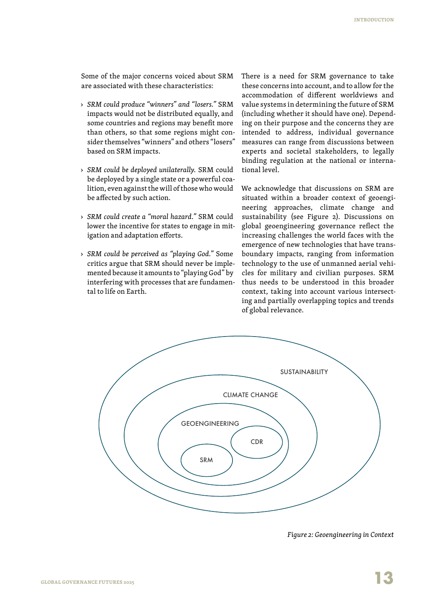Some of the major concerns voiced about SRM are associated with these characteristics:

- › *SRM could produce "winners" and "losers."* SRM impacts would not be distributed equally, and some countries and regions may benefit more than others, so that some regions might consider themselves "winners" and others "losers" based on SRM impacts.
- › *SRM could be deployed unilaterally.* SRM could be deployed by a single state or a powerful coalition, even against the will of those who would be affected by such action.
- › *SRM could create a "moral hazard."* SRM could lower the incentive for states to engage in mitigation and adaptation efforts.
- › *SRM could be perceived as "playing God."* Some critics argue that SRM should never be implemented because it amounts to "playing God" by interfering with processes that are fundamental to life on Earth.

There is a need for SRM governance to take these concerns into account, and to allow for the accommodation of different worldviews and value systems in determining the future of SRM (including whether it should have one). Depending on their purpose and the concerns they are intended to address, individual governance measures can range from discussions between experts and societal stakeholders, to legally binding regulation at the national or international level.

We acknowledge that discussions on SRM are situated within a broader context of geoengineering approaches, climate change and sustainability (see Figure 2). Discussions on global geoengineering governance reflect the increasing challenges the world faces with the emergence of new technologies that have transboundary impacts, ranging from information technology to the use of unmanned aerial vehicles for military and civilian purposes. SRM thus needs to be understood in this broader context, taking into account various intersecting and partially overlapping topics and trends of global relevance.



*Figure 2: Geoengineering in Context*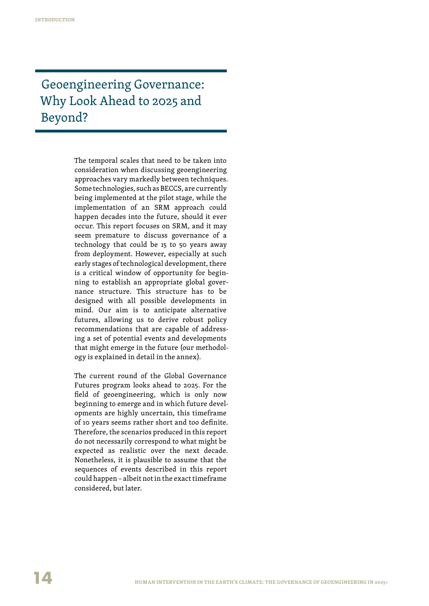## Geoengineering Governance: Why Look Ahead to 2025 and Beyond?

The temporal scales that need to be taken into consideration when discussing geoengineering approaches vary markedly between techniques. Some technologies, such as BECCS, are currently being implemented at the pilot stage, while the implementation of an SRM approach could happen decades into the future, should it ever occur. This report focuses on SRM, and it may seem premature to discuss governance of a technology that could be 15 to 50 years away from deployment. However, especially at such early stages of technological development, there is a critical window of opportunity for beginning to establish an appropriate global governance structure. This structure has to be designed with all possible developments in mind. Our aim is to anticipate alternative futures, allowing us to derive robust policy recommendations that are capable of addressing a set of potential events and developments that might emerge in the future (our methodology is explained in detail in the annex).

The current round of the Global Governance Futures program looks ahead to 2025. For the field of geoengineering, which is only now beginning to emerge and in which future developments are highly uncertain, this timeframe of 10 years seems rather short and too definite. Therefore, the scenarios produced in this report do not necessarily correspond to what might be expected as realistic over the next decade. Nonetheless, it is plausible to assume that the sequences of events described in this report could happen – albeit not in the exact timeframe considered, but later.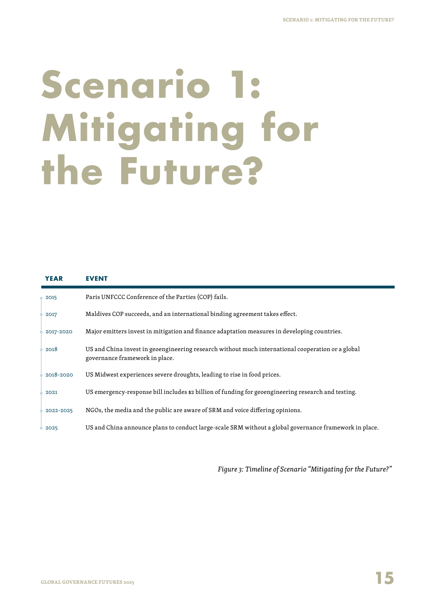## **Scenario 1: Mitigating for the Future?**

| <b>YEAR</b> | <b>EVENT</b>                                                                                                                        |
|-------------|-------------------------------------------------------------------------------------------------------------------------------------|
| 2015        | Paris UNFCCC Conference of the Parties (COP) fails.                                                                                 |
| 2017        | Maldives COP succeeds, and an international binding agreement takes effect.                                                         |
| 2017-2020   | Major emitters invest in mitigation and finance adaptation measures in developing countries.                                        |
| 2018        | US and China invest in geoengineering research without much international cooperation or a global<br>governance framework in place. |
| 2018-2020   | US Midwest experiences severe droughts, leading to rise in food prices.                                                             |
| 2021        | US emergency-response bill includes \$2 billion of funding for geoengineering research and testing.                                 |
| 2022-2025   | NGOs, the media and the public are aware of SRM and voice differing opinions.                                                       |
| 2025        | US and China announce plans to conduct large-scale SRM without a global governance framework in place.                              |

*Figure 3: Timeline of Scenario "Mitigating for the Future?"*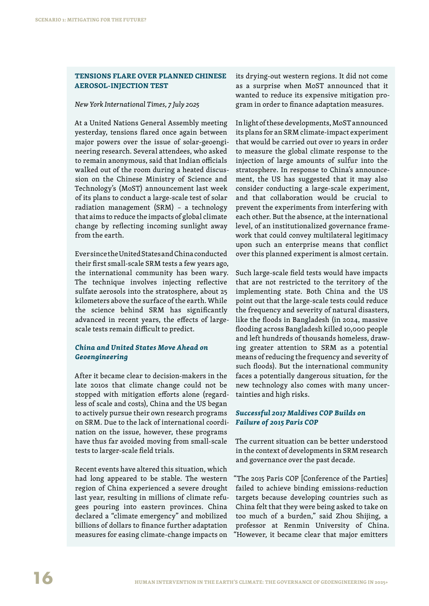#### **Tensions Flare Over Planned Chinese Aerosol-Injection Test**

#### *New York International Times, 7 July 2025*

At a United Nations General Assembly meeting yesterday, tensions flared once again between major powers over the issue of solar-geoengineering research. Several attendees, who asked to remain anonymous, said that Indian officials walked out of the room during a heated discussion on the Chinese Ministry of Science and Technology's (MoST) announcement last week of its plans to conduct a large-scale test of solar radiation management (SRM) – a technology that aims to reduce the impacts of global climate change by reflecting incoming sunlight away from the earth.

Ever since the United States and China conducted their first small-scale SRM tests a few years ago, the international community has been wary. The technique involves injecting reflective sulfate aerosols into the stratosphere, about 25 kilometers above the surface of the earth. While the science behind SRM has significantly advanced in recent years, the effects of largescale tests remain difficult to predict.

### *China and United States Move Ahead on Geoengineering*

After it became clear to decision-makers in the late 2010s that climate change could not be stopped with mitigation efforts alone (regardless of scale and costs), China and the US began to actively pursue their own research programs on SRM. Due to the lack of international coordination on the issue, however, these programs have thus far avoided moving from small-scale tests to larger-scale field trials.

Recent events have altered this situation, which had long appeared to be stable. The western region of China experienced a severe drought last year, resulting in millions of climate refugees pouring into eastern provinces. China declared a "climate emergency" and mobilized billions of dollars to finance further adaptation measures for easing climate-change impacts on

its drying-out western regions. It did not come as a surprise when MoST announced that it wanted to reduce its expensive mitigation program in order to finance adaptation measures.

In light of these developments, MoST announced its plans for an SRM climate-impact experiment that would be carried out over 10 years in order to measure the global climate response to the injection of large amounts of sulfur into the stratosphere. In response to China's announcement, the US has suggested that it may also consider conducting a large-scale experiment, and that collaboration would be crucial to prevent the experiments from interfering with each other. But the absence, at the international level, of an institutionalized governance framework that could convey multilateral legitimacy upon such an enterprise means that conflict over this planned experiment is almost certain.

Such large-scale field tests would have impacts that are not restricted to the territory of the implementing state. Both China and the US point out that the large-scale tests could reduce the frequency and severity of natural disasters, like the floods in Bangladesh (in 2024, massive flooding across Bangladesh killed 10,000 people and left hundreds of thousands homeless, drawing greater attention to SRM as a potential means of reducing the frequency and severity of such floods). But the international community faces a potentially dangerous situation, for the new technology also comes with many uncertainties and high risks.

### *Successful 2017 Maldives COP Builds on Failure of 2015 Paris COP*

The current situation can be better understood in the context of developments in SRM research and governance over the past decade.

"The 2015 Paris COP [Conference of the Parties] failed to achieve binding emissions-reduction targets because developing countries such as China felt that they were being asked to take on too much of a burden," said Zhou Shijing, a professor at Renmin University of China. "However, it became clear that major emitters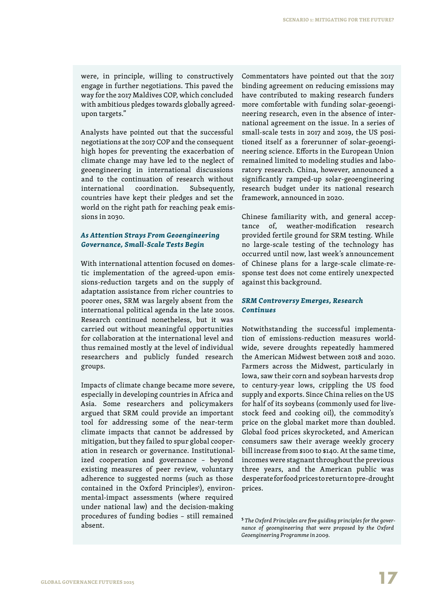were, in principle, willing to constructively engage in further negotiations. This paved the way for the 2017 Maldives COP, which concluded with ambitious pledges towards globally agreedupon targets."

Analysts have pointed out that the successful negotiations at the 2017 COP and the consequent high hopes for preventing the exacerbation of climate change may have led to the neglect of geoengineering in international discussions and to the continuation of research without international coordination. Subsequently, countries have kept their pledges and set the world on the right path for reaching peak emissions in 2030.

#### *As Attention Strays From Geoengineering Governance, Small-Scale Tests Begin*

With international attention focused on domestic implementation of the agreed-upon emissions-reduction targets and on the supply of adaptation assistance from richer countries to poorer ones, SRM was largely absent from the international political agenda in the late 2010s. Research continued nonetheless, but it was carried out without meaningful opportunities for collaboration at the international level and thus remained mostly at the level of individual researchers and publicly funded research groups.

Impacts of climate change became more severe, especially in developing countries in Africa and Asia. Some researchers and policymakers argued that SRM could provide an important tool for addressing some of the near-term climate impacts that cannot be addressed by mitigation, but they failed to spur global cooperation in research or governance. Institutionalized cooperation and governance – beyond existing measures of peer review, voluntary adherence to suggested norms (such as those contained in the Oxford Principles<sup>5</sup>), environmental-impact assessments (where required under national law) and the decision-making procedures of funding bodies – still remained absent.

Commentators have pointed out that the 2017 binding agreement on reducing emissions may have contributed to making research funders more comfortable with funding solar-geoengineering research, even in the absence of international agreement on the issue. In a series of small-scale tests in 2017 and 2019, the US positioned itself as a forerunner of solar-geoengineering science. Efforts in the European Union remained limited to modeling studies and laboratory research. China, however, announced a significantly ramped-up solar-geoengineering research budget under its national research framework, announced in 2020.

Chinese familiarity with, and general acceptance of, weather-modification research provided fertile ground for SRM testing. While no large-scale testing of the technology has occurred until now, last week's announcement of Chinese plans for a large-scale climate-response test does not come entirely unexpected against this background.

### *SRM Controversy Emerges, Research Continues*

Notwithstanding the successful implementation of emissions-reduction measures worldwide, severe droughts repeatedly hammered the American Midwest between 2018 and 2020. Farmers across the Midwest, particularly in Iowa, saw their corn and soybean harvests drop to century-year lows, crippling the US food supply and exports. Since China relies on the US for half of its soybeans (commonly used for livestock feed and cooking oil), the commodity's price on the global market more than doubled. Global food prices skyrocketed, and American consumers saw their average weekly grocery bill increase from \$100 to \$140. At the same time, incomes were stagnant throughout the previous three years, and the American public was desperate for food prices to return to pre-drought prices.

**<sup>5</sup>**  *The Oxford Principles are five guiding principles for the governance of geoengineering that were proposed by the Oxford Geoengineering Programme in 2009.*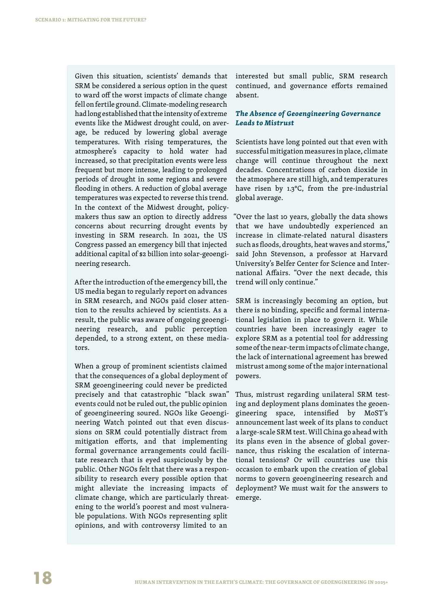Given this situation, scientists' demands that SRM be considered a serious option in the quest to ward off the worst impacts of climate change fell on fertile ground. Climate-modeling research had long established that the intensity of extreme events like the Midwest drought could, on average, be reduced by lowering global average temperatures. With rising temperatures, the atmosphere's capacity to hold water had increased, so that precipitation events were less frequent but more intense, leading to prolonged periods of drought in some regions and severe flooding in others. A reduction of global average temperatures was expected to reverse this trend. In the context of the Midwest drought, policymakers thus saw an option to directly address concerns about recurring drought events by investing in SRM research. In 2021, the US Congress passed an emergency bill that injected additional capital of \$2 billion into solar-geoengineering research.

After the introduction of the emergency bill, the US media began to regularly report on advances in SRM research, and NGOs paid closer attention to the results achieved by scientists. As a result, the public was aware of ongoing geoengineering research, and public perception depended, to a strong extent, on these mediators.

When a group of prominent scientists claimed that the consequences of a global deployment of SRM geoengineering could never be predicted precisely and that catastrophic "black swan" events could not be ruled out, the public opinion of geoengineering soured. NGOs like Geoengineering Watch pointed out that even discussions on SRM could potentially distract from mitigation efforts, and that implementing formal governance arrangements could facilitate research that is eyed suspiciously by the public. Other NGOs felt that there was a responsibility to research every possible option that might alleviate the increasing impacts of climate change, which are particularly threatening to the world's poorest and most vulnerable populations. With NGOs representing split opinions, and with controversy limited to an

interested but small public, SRM research continued, and governance efforts remained absent.

### *The Absence of Geoengineering Governance Leads to Mistrust*

Scientists have long pointed out that even with successful mitigation measures in place, climate change will continue throughout the next decades. Concentrations of carbon dioxide in the atmosphere are still high, and temperatures have risen by 1.3°C, from the pre-industrial global average.

"Over the last 10 years, globally the data shows that we have undoubtedly experienced an increase in climate-related natural disasters such as floods, droughts, heat waves and storms," said John Stevenson, a professor at Harvard University's Belfer Center for Science and International Affairs. "Over the next decade, this trend will only continue."

SRM is increasingly becoming an option, but there is no binding, specific and formal international legislation in place to govern it. While countries have been increasingly eager to explore SRM as a potential tool for addressing some of the near-term impacts of climate change, the lack of international agreement has brewed mistrust among some of the major international powers.

Thus, mistrust regarding unilateral SRM testing and deployment plans dominates the geoengineering space, intensified by MoST's announcement last week of its plans to conduct a large-scale SRM test. Will China go ahead with its plans even in the absence of global governance, thus risking the escalation of international tensions? Or will countries use this occasion to embark upon the creation of global norms to govern geoengineering research and deployment? We must wait for the answers to emerge.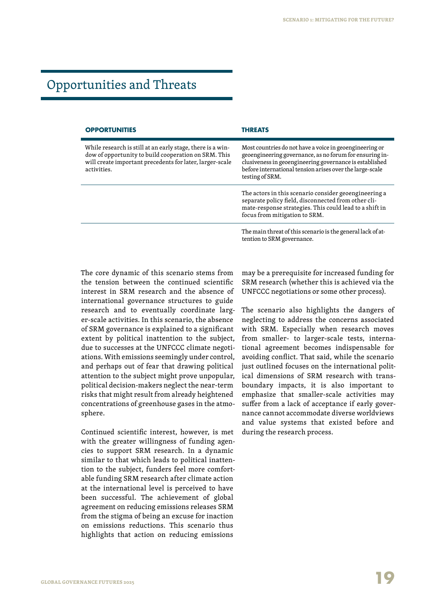## Opportunities and Threats

| <b>OPPORTUNITIES</b>                                                                                                                                                                          | <b>THREATS</b>                                                                                                                                                                                                                                               |  |
|-----------------------------------------------------------------------------------------------------------------------------------------------------------------------------------------------|--------------------------------------------------------------------------------------------------------------------------------------------------------------------------------------------------------------------------------------------------------------|--|
| While research is still at an early stage, there is a win-<br>dow of opportunity to build cooperation on SRM. This<br>will create important precedents for later, larger-scale<br>activities. | Most countries do not have a voice in geoengineering or<br>geoengineering governance, as no forum for ensuring in-<br>clusiveness in geoengineering governance is established<br>before international tension arises over the large-scale<br>testing of SRM. |  |
|                                                                                                                                                                                               | The actors in this scenario consider geoengineering a<br>separate policy field, disconnected from other cli-<br>mate-response strategies. This could lead to a shift in<br>focus from mitigation to SRM.                                                     |  |
|                                                                                                                                                                                               | The main threat of this scenario is the general lack of at-                                                                                                                                                                                                  |  |

The core dynamic of this scenario stems from the tension between the continued scientific interest in SRM research and the absence of international governance structures to guide research and to eventually coordinate larger-scale activities. In this scenario, the absence of SRM governance is explained to a significant extent by political inattention to the subject, due to successes at the UNFCCC climate negotiations. With emissions seemingly under control, and perhaps out of fear that drawing political attention to the subject might prove unpopular, political decision-makers neglect the near-term risks that might result from already heightened concentrations of greenhouse gases in the atmosphere.

Continued scientific interest, however, is met with the greater willingness of funding agencies to support SRM research. In a dynamic similar to that which leads to political inattention to the subject, funders feel more comfortable funding SRM research after climate action at the international level is perceived to have been successful. The achievement of global agreement on reducing emissions releases SRM from the stigma of being an excuse for inaction on emissions reductions. This scenario thus highlights that action on reducing emissions

may be a prerequisite for increased funding for SRM research (whether this is achieved via the UNFCCC negotiations or some other process).

tention to SRM governance.

The scenario also highlights the dangers of neglecting to address the concerns associated with SRM. Especially when research moves from smaller- to larger-scale tests, international agreement becomes indispensable for avoiding conflict. That said, while the scenario just outlined focuses on the international political dimensions of SRM research with transboundary impacts, it is also important to emphasize that smaller-scale activities may suffer from a lack of acceptance if early governance cannot accommodate diverse worldviews and value systems that existed before and during the research process.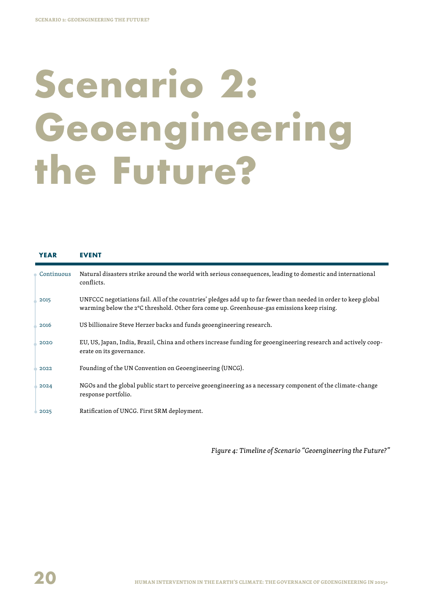## **Scenario 2: Geoengineering the Future?**

| <b>YEAR</b> | <b>EVENT</b>                                                                                                                                                                                                  |
|-------------|---------------------------------------------------------------------------------------------------------------------------------------------------------------------------------------------------------------|
| Continuous  | Natural disasters strike around the world with serious consequences, leading to domestic and international<br>conflicts.                                                                                      |
| 2015        | UNFCCC negotiations fail. All of the countries' pledges add up to far fewer than needed in order to keep global<br>warming below the 2°C threshold. Other fora come up. Greenhouse-gas emissions keep rising. |
| 2016        | US billionaire Steve Herzer backs and funds geoengineering research.                                                                                                                                          |
| 2020        | EU, US, Japan, India, Brazil, China and others increase funding for geoengineering research and actively coop-<br>erate on its governance.                                                                    |
| 2022        | Founding of the UN Convention on Geoengineering (UNCG).                                                                                                                                                       |
| 2024        | NGOs and the global public start to perceive geoengineering as a necessary component of the climate-change<br>response portfolio.                                                                             |
| 2025        | Ratification of UNCG. First SRM deployment.                                                                                                                                                                   |

*Figure 4: Timeline of Scenario "Geoengineering the Future?"*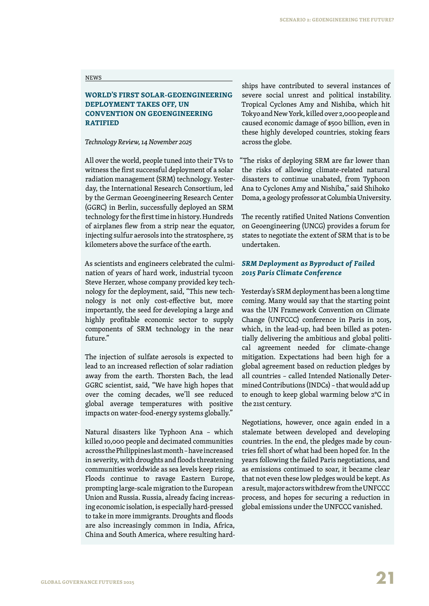#### **NEWS**

### **World's First Solar-Geoengineering Deployment Takes Off, UN Convention on Geoengineering RATIFIED**

*Technology Review, 14 November 2025*

All over the world, people tuned into their TVs to witness the first successful deployment of a solar radiation management (SRM) technology. Yesterday, the International Research Consortium, led by the German Geoengineering Research Center (GGRC) in Berlin, successfully deployed an SRM technology for the first time in history. Hundreds of airplanes flew from a strip near the equator, injecting sulfur aerosols into the stratosphere, 25 kilometers above the surface of the earth.

As scientists and engineers celebrated the culmination of years of hard work, industrial tycoon Steve Herzer, whose company provided key technology for the deployment, said, "This new technology is not only cost-effective but, more importantly, the seed for developing a large and highly profitable economic sector to supply components of SRM technology in the near future"

The injection of sulfate aerosols is expected to lead to an increased reflection of solar radiation away from the earth. Thorsten Bach, the lead GGRC scientist, said, "We have high hopes that over the coming decades, we'll see reduced global average temperatures with positive impacts on water-food-energy systems globally."

Natural disasters like Typhoon Ana – which killed 10,000 people and decimated communities across the Philippines last month – have increased in severity, with droughts and floods threatening communities worldwide as sea levels keep rising. Floods continue to ravage Eastern Europe, prompting large-scale migration to the European Union and Russia. Russia, already facing increasing economic isolation, is especially hard-pressed to take in more immigrants. Droughts and floods are also increasingly common in India, Africa, China and South America, where resulting hardships have contributed to several instances of severe social unrest and political instability. Tropical Cyclones Amy and Nishiba, which hit Tokyo and New York, killed over 2,000 people and caused economic damage of \$500 billion, even in these highly developed countries, stoking fears across the globe.

"The risks of deploying SRM are far lower than the risks of allowing climate-related natural disasters to continue unabated, from Typhoon Ana to Cyclones Amy and Nishiba," said Shihoko Doma, a geology professor at Columbia University.

The recently ratified United Nations Convention on Geoengineering (UNCG) provides a forum for states to negotiate the extent of SRM that is to be undertaken.

### *SRM Deployment as Byproduct of Failed 2015 Paris Climate Conference*

Yesterday's SRM deployment has been a long time coming. Many would say that the starting point was the UN Framework Convention on Climate Change (UNFCCC) conference in Paris in 2015, which, in the lead-up, had been billed as potentially delivering the ambitious and global political agreement needed for climate-change mitigation. Expectations had been high for a global agreement based on reduction pledges by all countries – called Intended Nationally Determined Contributions (INDCs) – that would add up to enough to keep global warming below 2°C in the 21st century.

Negotiations, however, once again ended in a stalemate between developed and developing countries. In the end, the pledges made by countries fell short of what had been hoped for. In the years following the failed Paris negotiations, and as emissions continued to soar, it became clear that not even these low pledges would be kept. As a result, major actors withdrew from the UNFCCC process, and hopes for securing a reduction in global emissions under the UNFCCC vanished.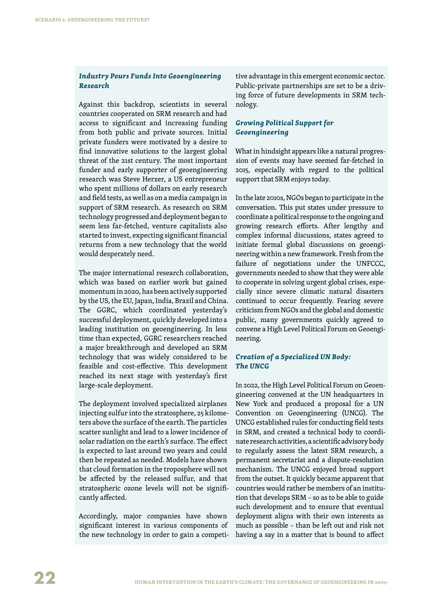#### *Industry Pours Funds Into Geoengineering Research*

Against this backdrop, scientists in several countries cooperated on SRM research and had access to significant and increasing funding from both public and private sources. Initial private funders were motivated by a desire to find innovative solutions to the largest global threat of the 21st century. The most important funder and early supporter of geoengineering research was Steve Herzer, a US entrepreneur who spent millions of dollars on early research and field tests, as well as on a media campaign in support of SRM research. As research on SRM technology progressed and deployment began to seem less far-fetched, venture capitalists also started to invest, expecting significant financial returns from a new technology that the world would desperately need.

The major international research collaboration, which was based on earlier work but gained momentum in 2020, has been actively supported by the US, the EU, Japan, India, Brazil and China. The GGRC, which coordinated yesterday's successful deployment, quickly developed into a leading institution on geoengineering. In less time than expected, GGRC researchers reached a major breakthrough and developed an SRM technology that was widely considered to be feasible and cost-effective. This development reached its next stage with yesterday's first large-scale deployment.

The deployment involved specialized airplanes injecting sulfur into the stratosphere, 25 kilometers above the surface of the earth. The particles scatter sunlight and lead to a lower incidence of solar radiation on the earth's surface. The effect is expected to last around two years and could then be repeated as needed. Models have shown that cloud formation in the troposphere will not be affected by the released sulfur, and that stratospheric ozone levels will not be significantly affected.

Accordingly, major companies have shown significant interest in various components of the new technology in order to gain a competi-

tive advantage in this emergent economic sector. Public-private partnerships are set to be a driving force of future developments in SRM technology.

### *Growing Political Support for Geoengineering*

What in hindsight appears like a natural progression of events may have seemed far-fetched in 2015, especially with regard to the political support that SRM enjoys today.

In the late 2010s, NGOs began to participate in the conversation. This put states under pressure to coordinate a political response to the ongoing and growing research efforts. After lengthy and complex informal discussions, states agreed to initiate formal global discussions on geoengineering within a new framework. Fresh from the failure of negotiations under the UNFCCC, governments needed to show that they were able to cooperate in solving urgent global crises, especially since severe climatic natural disasters continued to occur frequently. Fearing severe criticism from NGOs and the global and domestic public, many governments quickly agreed to convene a High Level Political Forum on Geoengineering.

#### *Creation of a Specialized UN Body: The UNCG*

In 2022, the High Level Political Forum on Geoengineering convened at the UN headquarters in New York and produced a proposal for a UN Convention on Geoengineering (UNCG). The UNCG established rules for conducting field tests in SRM, and created a technical body to coordinate research activities, a scientific advisory body to regularly assess the latest SRM research, a permanent secretariat and a dispute-resolution mechanism. The UNCG enjoyed broad support from the outset. It quickly became apparent that countries would rather be members of an institution that develops SRM – so as to be able to guide such development and to ensure that eventual deployment aligns with their own interests as much as possible – than be left out and risk not having a say in a matter that is bound to affect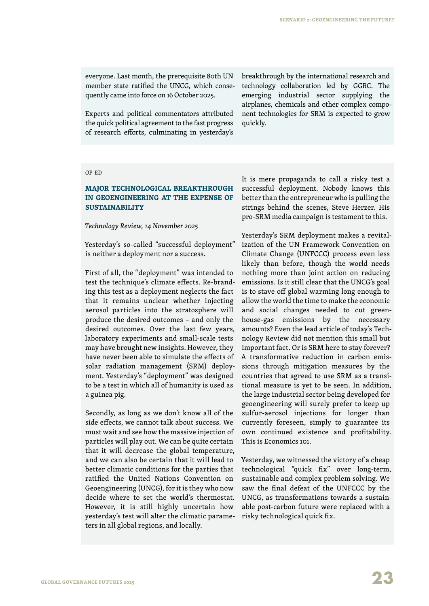everyone. Last month, the prerequisite 80th UN member state ratified the UNCG, which consequently came into force on 16 October 2025.

Experts and political commentators attributed the quick political agreement to the fast progress of research efforts, culminating in yesterday's breakthrough by the international research and technology collaboration led by GGRC. The emerging industrial sector supplying the airplanes, chemicals and other complex component technologies for SRM is expected to grow quickly.

#### op-ed

### **Major Technological Breakthrough in Geoengineering at the Expense of Sustainability**

*Technology Review, 14 November 2025*

Yesterday's so-called "successful deployment" is neither a deployment nor a success.

First of all, the "deployment" was intended to test the technique's climate effects. Re-branding this test as a deployment neglects the fact that it remains unclear whether injecting aerosol particles into the stratosphere will produce the desired outcomes – and only the desired outcomes. Over the last few years, laboratory experiments and small-scale tests may have brought new insights. However, they have never been able to simulate the effects of solar radiation management (SRM) deployment. Yesterday's "deployment" was designed to be a test in which all of humanity is used as a guinea pig.

Secondly, as long as we don't know all of the side effects, we cannot talk about success. We must wait and see how the massive injection of particles will play out. We can be quite certain that it will decrease the global temperature, and we can also be certain that it will lead to better climatic conditions for the parties that ratified the United Nations Convention on Geoengineering (UNCG), for it is they who now decide where to set the world's thermostat. However, it is still highly uncertain how yesterday's test will alter the climatic parameters in all global regions, and locally.

It is mere propaganda to call a risky test a successful deployment. Nobody knows this better than the entrepreneur who is pulling the strings behind the scenes, Steve Herzer. His pro-SRM media campaign is testament to this.

Yesterday's SRM deployment makes a revitalization of the UN Framework Convention on Climate Change (UNFCCC) process even less likely than before, though the world needs nothing more than joint action on reducing emissions. Is it still clear that the UNCG's goal is to stave off global warming long enough to allow the world the time to make the economic and social changes needed to cut greenhouse-gas emissions by the necessary amounts? Even the lead article of today's Technology Review did not mention this small but important fact. Or is SRM here to stay forever? A transformative reduction in carbon emissions through mitigation measures by the countries that agreed to use SRM as a transitional measure is yet to be seen. In addition, the large industrial sector being developed for geoengineering will surely prefer to keep up sulfur-aerosol injections for longer than currently foreseen, simply to guarantee its own continued existence and profitability. This is Economics 101.

Yesterday, we witnessed the victory of a cheap technological "quick fix" over long-term, sustainable and complex problem solving. We saw the final defeat of the UNFCCC by the UNCG, as transformations towards a sustainable post-carbon future were replaced with a risky technological quick fix.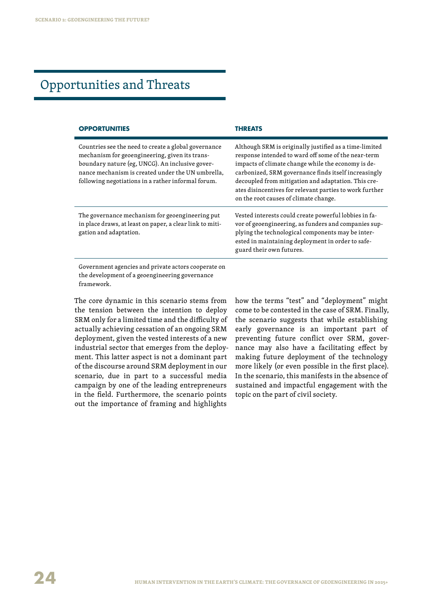## Opportunities and Threats

| <b>OPPORTUNITIES</b>                                                                                                                                                                                                                                                 | THREATS                                                                                                                                                                                                                                                                                                                                                                                |
|----------------------------------------------------------------------------------------------------------------------------------------------------------------------------------------------------------------------------------------------------------------------|----------------------------------------------------------------------------------------------------------------------------------------------------------------------------------------------------------------------------------------------------------------------------------------------------------------------------------------------------------------------------------------|
| Countries see the need to create a global governance<br>mechanism for geoengineering, given its trans-<br>boundary nature (eg, UNCG). An inclusive gover-<br>nance mechanism is created under the UN umbrella,<br>following negotiations in a rather informal forum. | Although SRM is originally justified as a time-limited<br>response intended to ward off some of the near-term<br>impacts of climate change while the economy is de-<br>carbonized, SRM governance finds itself increasingly<br>decoupled from mitigation and adaptation. This cre-<br>ates disincentives for relevant parties to work further<br>on the root causes of climate change. |
| The governance mechanism for geoengineering put<br>in place draws, at least on paper, a clear link to miti-<br>gation and adaptation.                                                                                                                                | Vested interests could create powerful lobbies in fa-<br>vor of geoengineering, as funders and companies sup-<br>plying the technological components may be inter-<br>ested in maintaining deployment in order to safe-<br>guard their own futures.                                                                                                                                    |
| Government agencies and private actors cooperate on<br>the development of a geoengineering governance<br>framework.                                                                                                                                                  |                                                                                                                                                                                                                                                                                                                                                                                        |

The core dynamic in this scenario stems from the tension between the intention to deploy SRM only for a limited time and the difficulty of actually achieving cessation of an ongoing SRM deployment, given the vested interests of a new industrial sector that emerges from the deployment. This latter aspect is not a dominant part of the discourse around SRM deployment in our scenario, due in part to a successful media campaign by one of the leading entrepreneurs in the field. Furthermore, the scenario points out the importance of framing and highlights

how the terms "test" and "deployment" might come to be contested in the case of SRM. Finally, the scenario suggests that while establishing early governance is an important part of preventing future conflict over SRM, governance may also have a facilitating effect by making future deployment of the technology more likely (or even possible in the first place). In the scenario, this manifests in the absence of sustained and impactful engagement with the topic on the part of civil society.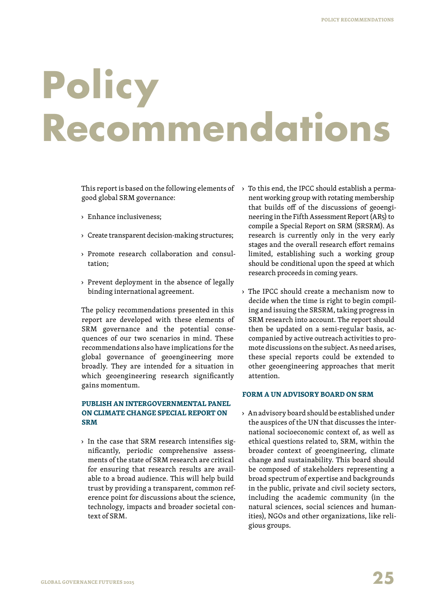## **Policy Recommendations**

This report is based on the following elements of  $\;\;\rightarrow$  To this end, the IPCC should establish a permagood global SRM governance:

- › Enhance inclusiveness;
- › Create transparent decision-making structures;
- › Promote research collaboration and consultation;
- › Prevent deployment in the absence of legally binding international agreement.

The policy recommendations presented in this report are developed with these elements of SRM governance and the potential consequences of our two scenarios in mind. These recommendations also have implications for the global governance of geoengineering more broadly. They are intended for a situation in which geoengineering research significantly gains momentum.

### **Publish an Intergovernmental Panel on Climate Change special report on SRM**

› In the case that SRM research intensifies significantly, periodic comprehensive assessments of the state of SRM research are critical for ensuring that research results are available to a broad audience. This will help build trust by providing a transparent, common reference point for discussions about the science, technology, impacts and broader societal context of SRM.

- nent working group with rotating membership that builds off of the discussions of geoengineering in the Fifth Assessment Report (AR5) to compile a Special Report on SRM (SRSRM). As research is currently only in the very early stages and the overall research effort remains limited, establishing such a working group should be conditional upon the speed at which research proceeds in coming years.
- › The IPCC should create a mechanism now to decide when the time is right to begin compiling and issuing the SRSRM, taking progress in SRM research into account. The report should then be updated on a semi-regular basis, accompanied by active outreach activities to promote discussions on the subject. As need arises, these special reports could be extended to other geoengineering approaches that merit attention.

#### **Form a UN advisory board on SRM**

› An advisory board should be established under the auspices of the UN that discusses the international socioeconomic context of, as well as ethical questions related to, SRM, within the broader context of geoengineering, climate change and sustainability. This board should be composed of stakeholders representing a broad spectrum of expertise and backgrounds in the public, private and civil society sectors, including the academic community (in the natural sciences, social sciences and humanities), NGOs and other organizations, like religious groups.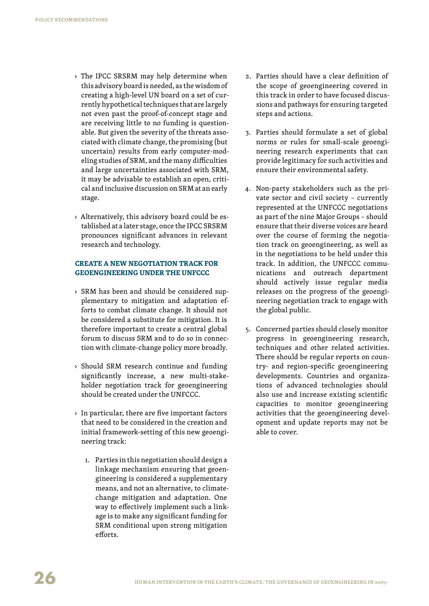- › The IPCC SRSRM may help determine when this advisory board is needed, as the wisdom of creating a high-level UN board on a set of currently hypothetical techniques that are largely not even past the proof-of-concept stage and are receiving little to no funding is questionable. But given the severity of the threats associated with climate change, the promising (but uncertain) results from early computer-modeling studies of SRM, and the many difficulties and large uncertainties associated with SRM, it may be advisable to establish an open, critical and inclusive discussion on SRM at an early stage.
- › Alternatively, this advisory board could be established at a later stage, once the IPCC SRSRM pronounces significant advances in relevant research and technology.

### **Create a new negotiation track for geoengineering under the UNFCCC**

- › SRM has been and should be considered supplementary to mitigation and adaptation efforts to combat climate change. It should not be considered a substitute for mitigation. It is therefore important to create a central global forum to discuss SRM and to do so in connection with climate-change policy more broadly.
- › Should SRM research continue and funding significantly increase, a new multi-stakeholder negotiation track for geoengineering should be created under the UNFCCC.
- › In particular, there are five important factors that need to be considered in the creation and initial framework-setting of this new geoengineering track:
	- 1. Parties in this negotiation should design a linkage mechanism ensuring that geoengineering is considered a supplementary means, and not an alternative, to climatechange mitigation and adaptation. One way to effectively implement such a linkage is to make any significant funding for SRM conditional upon strong mitigation efforts.
- 2. Parties should have a clear definition of the scope of geoengineering covered in this track in order to have focused discussions and pathways for ensuring targeted steps and actions.
- 3. Parties should formulate a set of global norms or rules for small-scale geoengineering research experiments that can provide legitimacy for such activities and ensure their environmental safety.
- 4. Non-party stakeholders such as the private sector and civil society – currently represented at the UNFCCC negotiations as part of the nine Major Groups – should ensure that their diverse voices are heard over the course of forming the negotiation track on geoengineering, as well as in the negotiations to be held under this track. In addition, the UNFCCC communications and outreach department should actively issue regular media releases on the progress of the geoengineering negotiation track to engage with the global public.
- 5. Concerned parties should closely monitor progress in geoengineering research, techniques and other related activities. There should be regular reports on country- and region-specific geoengineering developments. Countries and organizations of advanced technologies should also use and increase existing scientific capacities to monitor geoengineering activities that the geoengineering development and update reports may not be able to cover.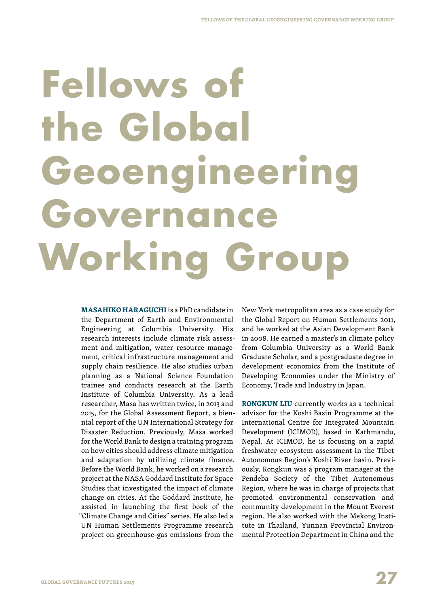# **Fellows of the Global Geoengineering Governance Working Group**

**Masahiko Haraguchi** is a PhD candidate in the Department of Earth and Environmental Engineering at Columbia University. His research interests include climate risk assessment and mitigation, water resource management, critical infrastructure management and supply chain resilience. He also studies urban planning as a National Science Foundation trainee and conducts research at the Earth Institute of Columbia University. As a lead researcher, Masa has written twice, in 2013 and 2015, for the Global Assessment Report, a biennial report of the UN International Strategy for Disaster Reduction. Previously, Masa worked for the World Bank to design a training program on how cities should address climate mitigation and adaptation by utilizing climate finance. Before the World Bank, he worked on a research project at the NASA Goddard Institute for Space Studies that investigated the impact of climate change on cities. At the Goddard Institute, he assisted in launching the first book of the "Climate Change and Cities" series. He also led a UN Human Settlements Programme research project on greenhouse-gas emissions from the

New York metropolitan area as a case study for the Global Report on Human Settlements 2011, and he worked at the Asian Development Bank in 2008. He earned a master's in climate policy from Columbia University as a World Bank Graduate Scholar, and a postgraduate degree in development economics from the Institute of Developing Economies under the Ministry of Economy, Trade and Industry in Japan.

**Rongkun Liu** currently works as a technical advisor for the Koshi Basin Programme at the International Centre for Integrated Mountain Development (ICIMOD), based in Kathmandu, Nepal. At ICIMOD, he is focusing on a rapid freshwater ecosystem assessment in the Tibet Autonomous Region's Koshi River basin. Previously, Rongkun was a program manager at the Pendeba Society of the Tibet Autonomous Region, where he was in charge of projects that promoted environmental conservation and community development in the Mount Everest region. He also worked with the Mekong Institute in Thailand, Yunnan Provincial Environmental Protection Department in China and the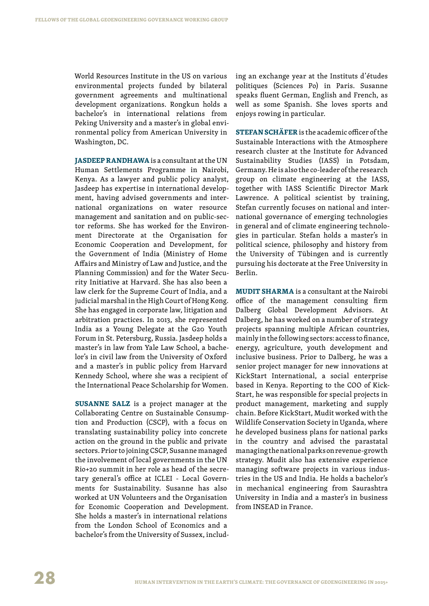World Resources Institute in the US on various environmental projects funded by bilateral government agreements and multinational development organizations. Rongkun holds a bachelor's in international relations from Peking University and a master's in global environmental policy from American University in Washington, DC.

**JASDEEP RANDHAWA** is a consultant at the UN Human Settlements Programme in Nairobi, Kenya. As a lawyer and public policy analyst, Jasdeep has expertise in international development, having advised governments and international organizations on water resource management and sanitation and on public-sector reforms. She has worked for the Environment Directorate at the Organisation for Economic Cooperation and Development, for the Government of India (Ministry of Home Affairs and Ministry of Law and Justice, and the Planning Commission) and for the Water Security Initiative at Harvard. She has also been a law clerk for the Supreme Court of India, and a judicial marshal in the High Court of Hong Kong. She has engaged in corporate law, litigation and arbitration practices. In 2013, she represented India as a Young Delegate at the G20 Youth Forum in St. Petersburg, Russia. Jasdeep holds a master's in law from Yale Law School, a bachelor's in civil law from the University of Oxford and a master's in public policy from Harvard Kennedy School, where she was a recipient of the International Peace Scholarship for Women.

**Susanne Salz** is a project manager at the Collaborating Centre on Sustainable Consumption and Production (CSCP), with a focus on translating sustainability policy into concrete action on the ground in the public and private sectors. Prior to joining CSCP, Susanne managed the involvement of local governments in the UN Rio+20 summit in her role as head of the secretary general's office at ICLEI - Local Governments for Sustainability. Susanne has also worked at UN Volunteers and the Organisation for Economic Cooperation and Development. She holds a master's in international relations from the London School of Economics and a bachelor's from the University of Sussex, including an exchange year at the Instituts d'études politiques (Sciences Po) in Paris. Susanne speaks fluent German, English and French, as well as some Spanish. She loves sports and enjoys rowing in particular.

**Stefan Schäfer** is the academic officer of the Sustainable Interactions with the Atmosphere research cluster at the Institute for Advanced Sustainability Studies (IASS) in Potsdam, Germany. He is also the co-leader of the research group on climate engineering at the IASS, together with IASS Scientific Director Mark Lawrence. A political scientist by training, Stefan currently focuses on national and international governance of emerging technologies in general and of climate engineering technologies in particular. Stefan holds a master's in political science, philosophy and history from the University of Tübingen and is currently pursuing his doctorate at the Free University in Berlin.

**MUDIT SHARMA** is a consultant at the Nairobi office of the management consulting firm Dalberg Global Development Advisors. At Dalberg, he has worked on a number of strategy projects spanning multiple African countries, mainly in the following sectors: access to finance, energy, agriculture, youth development and inclusive business. Prior to Dalberg, he was a senior project manager for new innovations at KickStart International, a social enterprise based in Kenya. Reporting to the COO of Kick-Start, he was responsible for special projects in product management, marketing and supply chain. Before KickStart, Mudit worked with the Wildlife Conservation Society in Uganda, where he developed business plans for national parks in the country and advised the parastatal managing the national parks on revenue-growth strategy. Mudit also has extensive experience managing software projects in various industries in the US and India. He holds a bachelor's in mechanical engineering from Saurashtra University in India and a master's in business from INSEAD in France.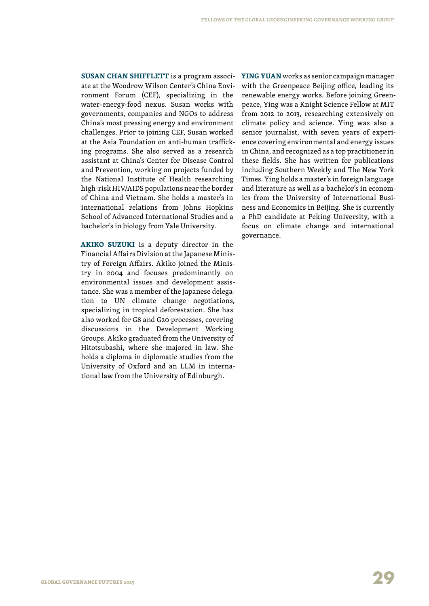**SUSAN CHAN SHIFFLETT** is a program associate at the Woodrow Wilson Center's China Environment Forum (CEF), specializing in the water-energy-food nexus. Susan works with governments, companies and NGOs to address China's most pressing energy and environment challenges. Prior to joining CEF, Susan worked at the Asia Foundation on anti-human trafficking programs. She also served as a research assistant at China's Center for Disease Control and Prevention, working on projects funded by the National Institute of Health researching high-risk HIV/AIDS populations near the border of China and Vietnam. She holds a master's in international relations from Johns Hopkins School of Advanced International Studies and a bachelor's in biology from Yale University.

**Akiko Suzuki** is a deputy director in the Financial Affairs Division at the Japanese Ministry of Foreign Affairs. Akiko joined the Ministry in 2004 and focuses predominantly on environmental issues and development assistance. She was a member of the Japanese delegation to UN climate change negotiations, specializing in tropical deforestation. She has also worked for G8 and G20 processes, covering discussions in the Development Working Groups. Akiko graduated from the University of Hitotsubashi, where she majored in law. She holds a diploma in diplomatic studies from the University of Oxford and an LLM in international law from the University of Edinburgh.

**YING YUAN** works as senior campaign manager with the Greenpeace Beijing office, leading its renewable energy works. Before joining Greenpeace, Ying was a Knight Science Fellow at MIT from 2012 to 2013, researching extensively on climate policy and science. Ying was also a senior journalist, with seven years of experience covering environmental and energy issues in China, and recognized as a top practitioner in these fields. She has written for publications including Southern Weekly and The New York Times. Ying holds a master's in foreign language and literature as well as a bachelor's in economics from the University of International Business and Economics in Beijing. She is currently a PhD candidate at Peking University, with a focus on climate change and international governance.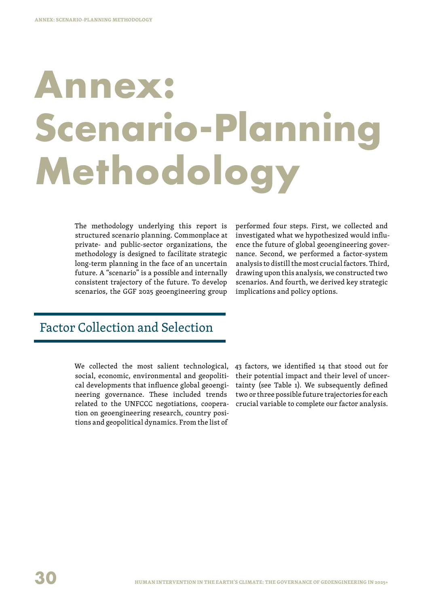# **Annex: Scenario-Plannin Methodology**

The methodology underlying this report is structured scenario planning. Commonplace at private- and public-sector organizations, the methodology is designed to facilitate strategic long-term planning in the face of an uncertain future. A "scenario" is a possible and internally consistent trajectory of the future. To develop scenarios, the GGF 2025 geoengineering group performed four steps. First, we collected and investigated what we hypothesized would influence the future of global geoengineering governance. Second, we performed a factor-system analysis to distill the most crucial factors. Third, drawing upon this analysis, we constructed two scenarios. And fourth, we derived key strategic implications and policy options.

## Factor Collection and Selection

We collected the most salient technological, social, economic, environmental and geopolitical developments that influence global geoengineering governance. These included trends related to the UNFCCC negotiations, cooperation on geoengineering research, country positions and geopolitical dynamics. From the list of

43 factors, we identified 14 that stood out for their potential impact and their level of uncertainty (see Table 1). We subsequently defined two or three possible future trajectories for each crucial variable to complete our factor analysis.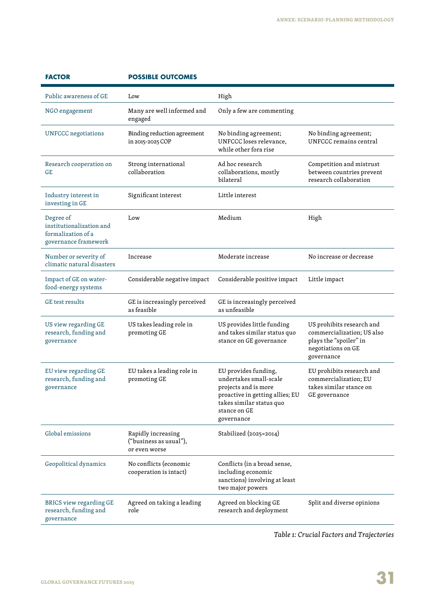| <b>MUUR</b>                                                                         | USSIBLE UUTCUMES                                              |                                                                                                                                                                     |                                                                                                                       |
|-------------------------------------------------------------------------------------|---------------------------------------------------------------|---------------------------------------------------------------------------------------------------------------------------------------------------------------------|-----------------------------------------------------------------------------------------------------------------------|
| Public awareness of GE                                                              | Low                                                           | High                                                                                                                                                                |                                                                                                                       |
| NGO engagement                                                                      | Many are well informed and<br>engaged                         | Only a few are commenting                                                                                                                                           |                                                                                                                       |
| UNFCCC negotiations                                                                 | Binding reduction agreement<br>in 2015-2025 COP               | No binding agreement;<br>UNFCCC loses relevance,<br>while other fora rise                                                                                           | No binding agreement;<br>UNFCCC remains central                                                                       |
| Research cooperation on<br>GE                                                       | Strong international<br>collaboration                         | Ad hoc research<br>collaborations, mostly<br>bilateral                                                                                                              | Competition and mistrust<br>between countries prevent<br>research collaboration                                       |
| Industry interest in<br>investing in GE                                             | Significant interest                                          | Little interest                                                                                                                                                     |                                                                                                                       |
| Degree of<br>institutionalization and<br>formalization of a<br>governance framework | Low                                                           | Medium                                                                                                                                                              | High                                                                                                                  |
| Number or severity of<br>climatic natural disasters                                 | Increase                                                      | Moderate increase                                                                                                                                                   | No increase or decrease                                                                                               |
| Impact of GE on water-<br>food-energy systems                                       | Considerable negative impact                                  | Considerable positive impact                                                                                                                                        | Little impact                                                                                                         |
| <b>GE</b> test results                                                              | GE is increasingly perceived<br>as feasible                   | GE is increasingly perceived<br>as unfeasible                                                                                                                       |                                                                                                                       |
| US view regarding GE<br>research, funding and<br>governance                         | US takes leading role in<br>promoting GE                      | US provides little funding<br>and takes similar status quo<br>stance on GE governance                                                                               | US prohibits research and<br>commercialization; US also<br>plays the "spoiler" in<br>negotiations on GE<br>governance |
| EU view regarding GE<br>research, funding and<br>governance                         | EU takes a leading role in<br>promoting GE                    | EU provides funding,<br>undertakes small-scale<br>projects and is more<br>proactive in getting allies; EU<br>takes similar status quo<br>stance on GE<br>governance | EU prohibits research and<br>commercialization; EU<br>takes similar stance on<br>GE governance                        |
| Global emissions                                                                    | Rapidly increasing<br>("business as usual"),<br>or even worse | Stabilized (2025=2014)                                                                                                                                              |                                                                                                                       |
| Geopolitical dynamics                                                               | No conflicts (economic<br>cooperation is intact)              | Conflicts (in a broad sense,<br>including economic<br>sanctions) involving at least<br>two major powers                                                             |                                                                                                                       |
| BRICS view regarding GE<br>research, funding and<br>governance                      | Agreed on taking a leading<br>role                            | Agreed on blocking GE<br>research and deployment                                                                                                                    | Split and diverse opinions                                                                                            |

### **FACTOR POSSIBLE OUTCOMES**

*Table 1: Crucial Factors and Trajectories*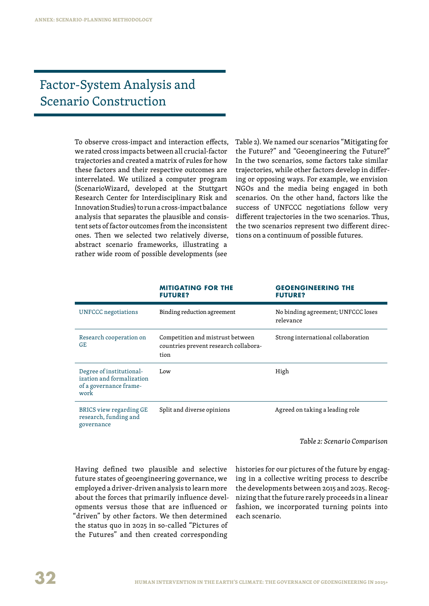## Factor-System Analysis and Scenario Construction

To observe cross-impact and interaction effects, we rated cross impacts between all crucial-factor trajectories and created a matrix of rules for how these factors and their respective outcomes are interrelated. We utilized a computer program (ScenarioWizard, developed at the Stuttgart Research Center for Interdisciplinary Risk and Innovation Studies) to run a cross-impact balance analysis that separates the plausible and consistent sets of factor outcomes from the inconsistent ones. Then we selected two relatively diverse, abstract scenario frameworks, illustrating a rather wide room of possible developments (see

Table 2). We named our scenarios "Mitigating for the Future?" and "Geoengineering the Future?" In the two scenarios, some factors take similar trajectories, while other factors develop in differing or opposing ways. For example, we envision NGOs and the media being engaged in both scenarios. On the other hand, factors like the success of UNFCCC negotiations follow very different trajectories in the two scenarios. Thus, the two scenarios represent two different directions on a continuum of possible futures.

|                                                                                         | <b>MITIGATING FOR THE</b><br><b>FUTURE?</b>                                       | <b>GEOENGINEERING THE</b><br><b>FUTURE?</b>     |
|-----------------------------------------------------------------------------------------|-----------------------------------------------------------------------------------|-------------------------------------------------|
| <b>UNFCCC</b> negotiations                                                              | Binding reduction agreement                                                       | No binding agreement; UNFCCC loses<br>relevance |
| Research cooperation on<br><b>GE</b>                                                    | Competition and mistrust between<br>countries prevent research collabora-<br>tion | Strong international collaboration              |
| Degree of institutional-<br>ization and formalization<br>of a governance frame-<br>work | Low                                                                               | High                                            |
| BRICS view regarding GE<br>research, funding and<br>governance                          | Split and diverse opinions                                                        | Agreed on taking a leading role                 |

*Table 2: Scenario Comparison*

Having defined two plausible and selective future states of geoengineering governance, we employed a driver-driven analysis to learn more about the forces that primarily influence developments versus those that are influenced or "driven" by other factors. We then determined the status quo in 2025 in so-called "Pictures of the Futures" and then created corresponding

histories for our pictures of the future by engaging in a collective writing process to describe the developments between 2015 and 2025. Recognizing that the future rarely proceeds in a linear fashion, we incorporated turning points into each scenario.